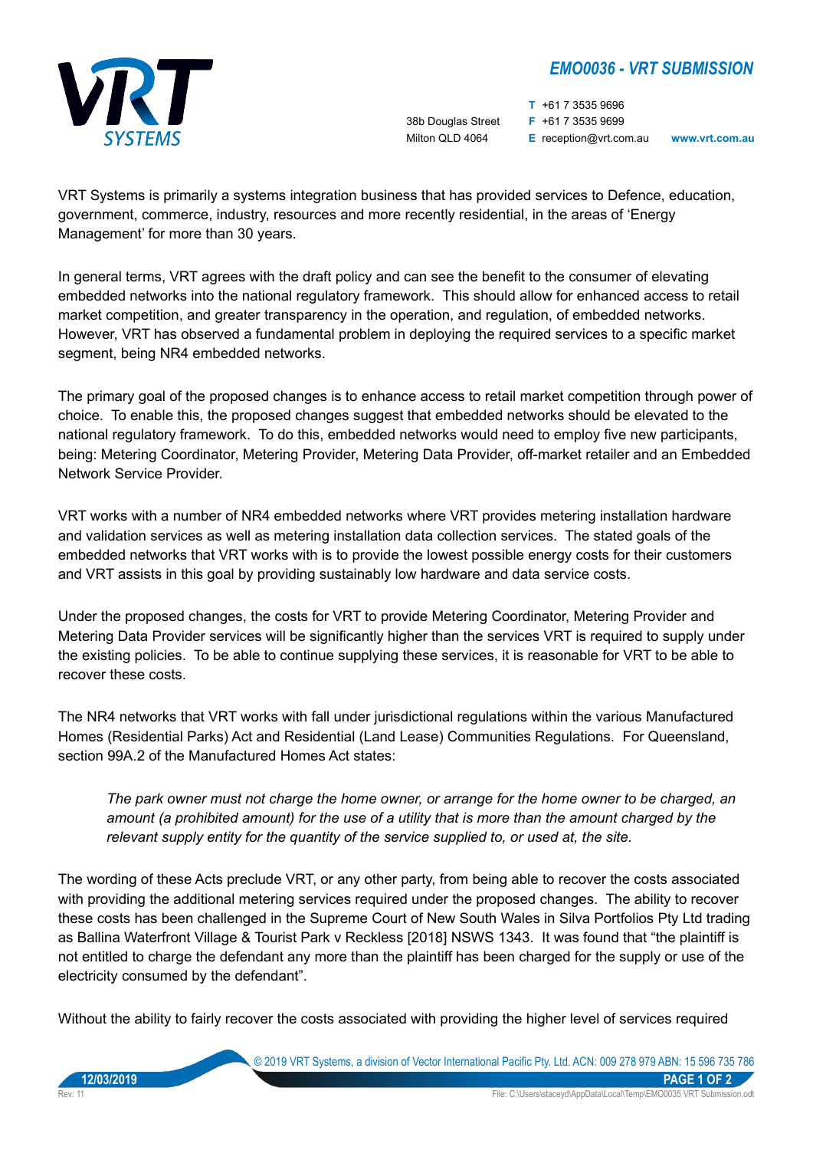## *EMO0036 - VRT SUBMISSION*



**T** +61 7 3535 9696 38b Douglas Street **F** +61 7 3535 9699 Milton QLD 4064 **E** reception@vrt.com.au **www.vrt.com.au**

VRT Systems is primarily a systems integration business that has provided services to Defence, education, government, commerce, industry, resources and more recently residential, in the areas of 'Energy Management' for more than 30 years.

In general terms, VRT agrees with the draft policy and can see the benefit to the consumer of elevating embedded networks into the national regulatory framework. This should allow for enhanced access to retail market competition, and greater transparency in the operation, and regulation, of embedded networks. However, VRT has observed a fundamental problem in deploying the required services to a specific market segment, being NR4 embedded networks.

The primary goal of the proposed changes is to enhance access to retail market competition through power of choice. To enable this, the proposed changes suggest that embedded networks should be elevated to the national regulatory framework. To do this, embedded networks would need to employ five new participants, being: Metering Coordinator, Metering Provider, Metering Data Provider, off-market retailer and an Embedded Network Service Provider.

VRT works with a number of NR4 embedded networks where VRT provides metering installation hardware and validation services as well as metering installation data collection services. The stated goals of the embedded networks that VRT works with is to provide the lowest possible energy costs for their customers and VRT assists in this goal by providing sustainably low hardware and data service costs.

Under the proposed changes, the costs for VRT to provide Metering Coordinator, Metering Provider and Metering Data Provider services will be significantly higher than the services VRT is required to supply under the existing policies. To be able to continue supplying these services, it is reasonable for VRT to be able to recover these costs.

The NR4 networks that VRT works with fall under jurisdictional regulations within the various Manufactured Homes (Residential Parks) Act and Residential (Land Lease) Communities Regulations. For Queensland, section 99A.2 of the Manufactured Homes Act states:

*The park owner must not charge the home owner, or arrange for the home owner to be charged, an amount (a prohibited amount) for the use of a utility that is more than the amount charged by the relevant supply entity for the quantity of the service supplied to, or used at, the site.*

The wording of these Acts preclude VRT, or any other party, from being able to recover the costs associated with providing the additional metering services required under the proposed changes. The ability to recover these costs has been challenged in the Supreme Court of New South Wales in Silva Portfolios Pty Ltd trading as Ballina Waterfront Village & Tourist Park v Reckless [2018] NSWS 1343. It was found that "the plaintiff is not entitled to charge the defendant any more than the plaintiff has been charged for the supply or use of the electricity consumed by the defendant".

Without the ability to fairly recover the costs associated with providing the higher level of services required